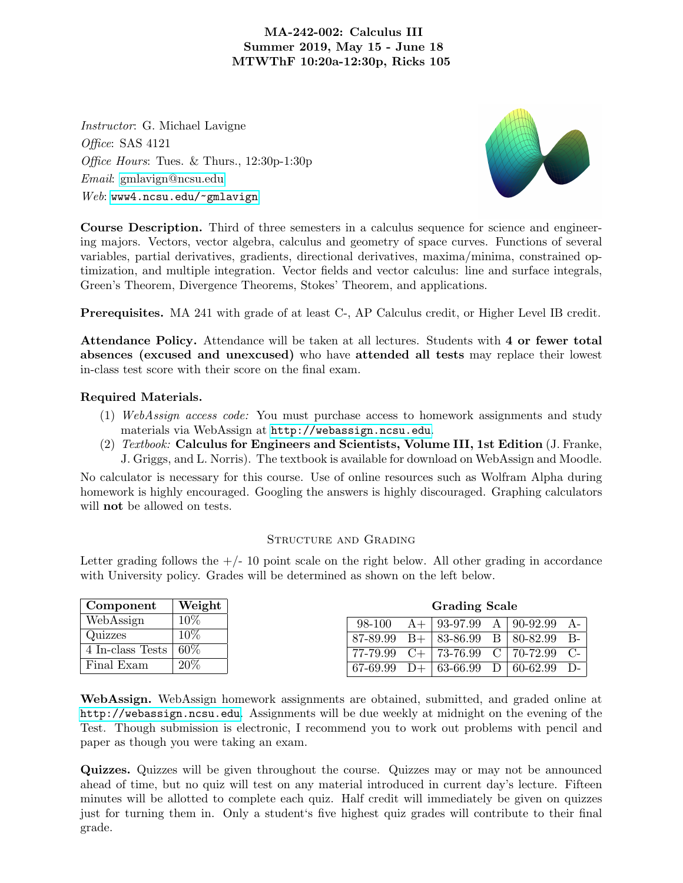## MA-242-002: Calculus III Summer 2019, May 15 - June 18 MTWThF 10:20a-12:30p, Ricks 105

Instructor: G. Michael Lavigne Office: SAS 4121 Office Hours: Tues. & Thurs., 12:30p-1:30p Email: [gmlavign@ncsu.edu](mailto:gmlavign@ncsu.edu) Web: <www4.ncsu.edu/~gmlavign>



Course Description. Third of three semesters in a calculus sequence for science and engineering majors. Vectors, vector algebra, calculus and geometry of space curves. Functions of several variables, partial derivatives, gradients, directional derivatives, maxima/minima, constrained optimization, and multiple integration. Vector fields and vector calculus: line and surface integrals, Green's Theorem, Divergence Theorems, Stokes' Theorem, and applications.

Prerequisites. MA 241 with grade of at least C-, AP Calculus credit, or Higher Level IB credit.

Attendance Policy. Attendance will be taken at all lectures. Students with 4 or fewer total absences (excused and unexcused) who have attended all tests may replace their lowest in-class test score with their score on the final exam.

## Required Materials.

- (1) WebAssign access code: You must purchase access to homework assignments and study materials via WebAssign at <http://webassign.ncsu.edu>.
- (2)  $Textbook:$  Calculus for Engineers and Scientists, Volume III, 1st Edition (J. Franke, J. Griggs, and L. Norris). The textbook is available for download on WebAssign and Moodle.

No calculator is necessary for this course. Use of online resources such as Wolfram Alpha during homework is highly encouraged. Googling the answers is highly discouraged. Graphing calculators will **not** be allowed on tests.

## STRUCTURE AND GRADING

Letter grading follows the  $+/-10$  point scale on the right below. All other grading in accordance with University policy. Grades will be determined as shown on the left below.

| Component        | Weight | <b>Grading Scale</b> |           |          |   |          |                |
|------------------|--------|----------------------|-----------|----------|---|----------|----------------|
| WebAssign        | 10%    | 98-100               | $A+$      | 93-97.99 | A | 90-92.99 | A-             |
| Quizzes          | 10%    | 87-89.99             | $B+$      | 83-86.99 |   | 80-82.99 | $B-$           |
| 4 In-class Tests | 60\%   | 77-79.99             | $C_{\pm}$ | 73-76.99 |   | 70-72.99 | $C_{\text{-}}$ |
| Final Exam       | 20%    | 67-69.99             |           | 63-66.99 |   | 60-62.99 | $D$ -          |

WebAssign. WebAssign homework assignments are obtained, submitted, and graded online at <http://webassign.ncsu.edu>. Assignments will be due weekly at midnight on the evening of the Test. Though submission is electronic, I recommend you to work out problems with pencil and paper as though you were taking an exam.

Quizzes. Quizzes will be given throughout the course. Quizzes may or may not be announced ahead of time, but no quiz will test on any material introduced in current day's lecture. Fifteen minutes will be allotted to complete each quiz. Half credit will immediately be given on quizzes just for turning them in. Only a student's five highest quiz grades will contribute to their final grade.